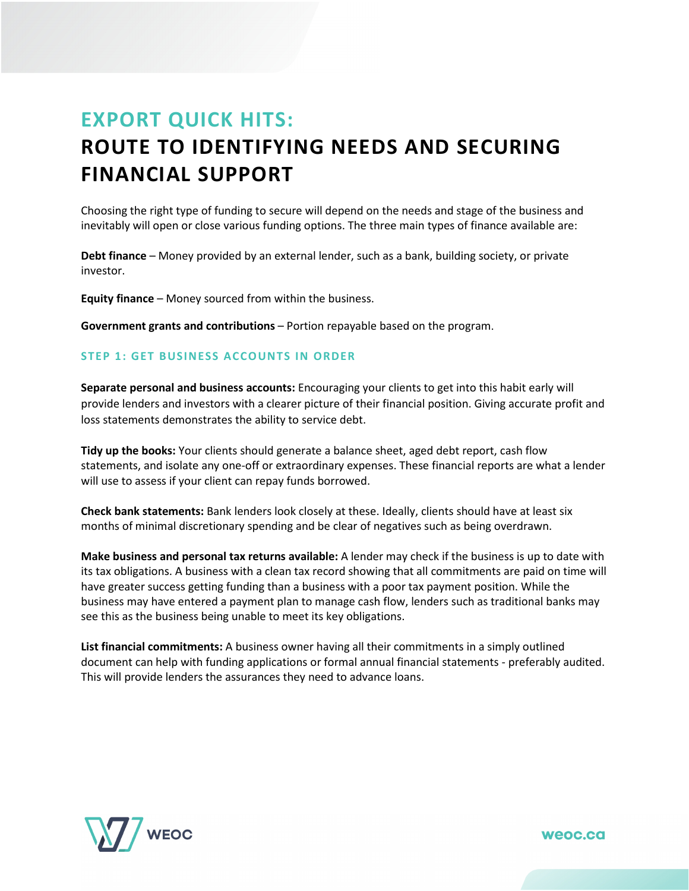# **EXPORT QUICK HITS: ROUTE TO IDENTIFYING NEEDS AND SECURING FINANCIAL SUPPORT**

Choosing the right type of funding to secure will depend on the needs and stage of the business and inevitably will open or close various funding options. The three main types of finance available are:

**Debt finance** – Money provided by an external lender, such as a bank, building society, or private investor.

**Equity finance** – Money sourced from within the business.

**Government grants and contributions** – Portion repayable based on the program.

### **STEP 1: GET BUSINESS ACCOUNTS IN ORDER**

**Separate personal and business accounts:** Encouraging your clients to get into this habit early will provide lenders and investors with a clearer picture of their financial position. Giving accurate profit and loss statements demonstrates the ability to service debt.

**Tidy up the books:** Your clients should generate a balance sheet, aged debt report, cash flow statements, and isolate any one-off or extraordinary expenses. These financial reports are what a lender will use to assess if your client can repay funds borrowed.

**Check bank statements:** Bank lenders look closely at these. Ideally, clients should have at least six months of minimal discretionary spending and be clear of negatives such as being overdrawn.

**Make business and personal tax returns available:** A lender may check if the business is up to date with its tax obligations. A business with a clean tax record showing that all commitments are paid on time will have greater success getting funding than a business with a poor tax payment position. While the business may have entered a payment plan to manage cash flow, lenders such as traditional banks may see this as the business being unable to meet its key obligations.

**List financial commitments:** A business owner having all their commitments in a simply outlined document can help with funding applications or formal annual financial statements - preferably audited. This will provide lenders the assurances they need to advance loans.

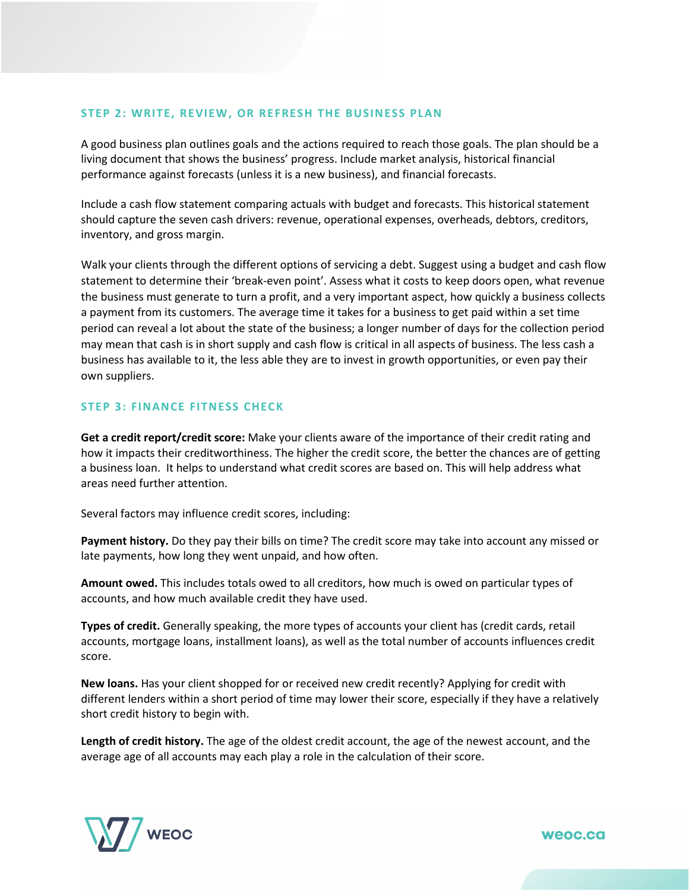#### **STEP 2: WRITE, REVIEW, OR REFRESH THE BUSINESS PLAN**

A good business plan outlines goals and the actions required to reach those goals. The plan should be a living document that shows the business' progress. Include market analysis, historical financial performance against forecasts (unless it is a new business), and financial forecasts.

Include a cash flow statement comparing actuals with budget and forecasts. This historical statement should capture the seven cash drivers: revenue, operational expenses, overheads, debtors, creditors, inventory, and gross margin.

Walk your clients through the different options of servicing a debt. Suggest using a budget and cash flow statement to determine their 'break-even point'. Assess what it costs to keep doors open, what revenue the business must generate to turn a profit, and a very important aspect, how quickly a business collects a payment from its customers. The average time it takes for a business to get paid within a set time period can reveal a lot about the state of the business; a longer number of days for the collection period may mean that cash is in short supply and cash flow is critical in all aspects of business. The less cash a business has available to it, the less able they are to invest in growth opportunities, or even pay their own suppliers.

## **STEP 3: FINANCE FITNESS CHECK**

**Get a credit report/credit score:** Make your clients aware of the importance of their credit rating and how it impacts their creditworthiness. The higher the credit score, the better the chances are of getting a business loan. It helps to understand what credit scores are based on. This will help address what areas need further attention.

Several factors may influence credit scores, including:

**Payment history.** Do they pay their bills on time? The credit score may take into account any missed or late payments, how long they went unpaid, and how often.

**Amount owed.** This includes totals owed to all creditors, how much is owed on particular types of accounts, and how much available credit they have used.

**Types of credit.** Generally speaking, the more types of accounts your client has (credit cards, retail accounts, mortgage loans, installment loans), as well as the total number of accounts influences credit score.

**New loans.** Has your client shopped for or received new credit recently? Applying for credit with different lenders within a short period of time may lower their score, especially if they have a relatively short credit history to begin with.

**Length of credit history.** The age of the oldest credit account, the age of the newest account, and the average age of all accounts may each play a role in the calculation of their score.

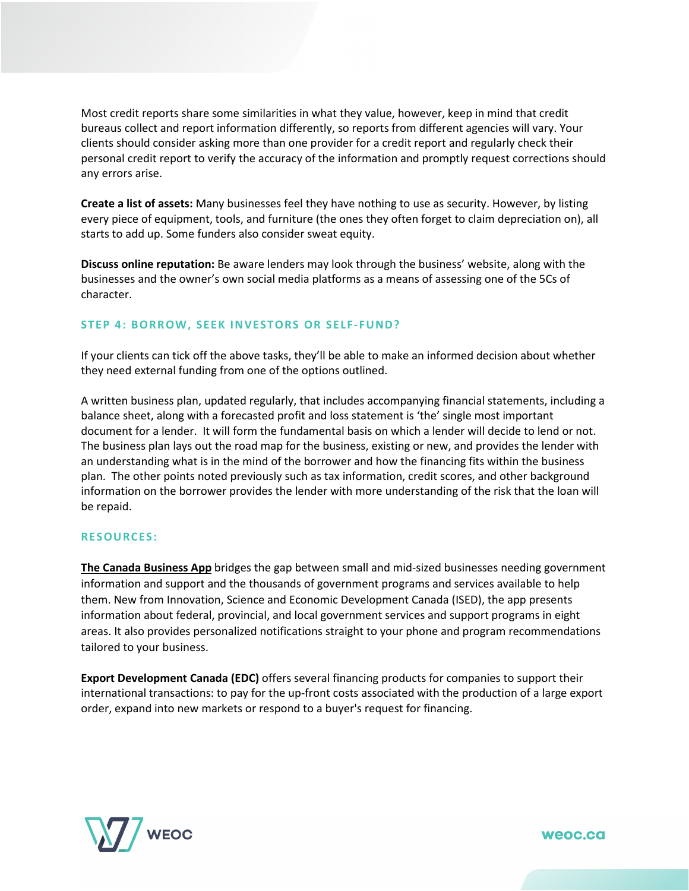Most credit reports share some similarities in what they value, however, keep in mind that credit bureaus collect and report information differently, so reports from different agencies will vary. Your clients should consider asking more than one provider for a credit report and regularly check their personal credit report to verify the accuracy of the information and promptly request corrections should any errors arise.

**Create a list of assets:** Many businesses feel they have nothing to use as security. However, by listing every piece of equipment, tools, and furniture (the ones they often forget to claim depreciation on), all starts to add up. Some funders also consider sweat equity.

**Discuss online reputation:** Be aware lenders may look through the business' website, along with the businesses and the owner's own social media platforms as a means of assessing one of the 5Cs of character.

## **STEP 4: BORROW, SEEK INVESTORS OR SELF-FUND?**

If your clients can tick off the above tasks, they'll be able to make an informed decision about whether they need external funding from one of the options outlined.

A written business plan, updated regularly, that includes accompanying financial statements, including a balance sheet, along with a forecasted profit and loss statement is 'the' single most important document for a lender. It will form the fundamental basis on which a lender will decide to lend or not. The business plan lays out the road map for the business, existing or new, and provides the lender with an understanding what is in the mind of the borrower and how the financing fits within the business plan. The other points noted previously such as tax information, credit scores, and other background information on the borrower provides the lender with more understanding of the risk that the loan will be repaid.

## **RESOURCES:**

**The Canada Business App** bridges the gap between small and mid-sized businesses needing government information and support and the thousands of government programs and services available to help them. New from Innovation, Science and Economic Development Canada (ISED), the app presents information about federal, provincial, and local government services and support programs in eight areas. It also provides personalized notifications straight to your phone and program recommendations tailored to your business.

**Export Development Canada (EDC)** offers several financing products for companies to support their international transactions: to pay for the up-front costs associated with the production of a large export order, expand into new markets or respond to a buyer's request for financing.

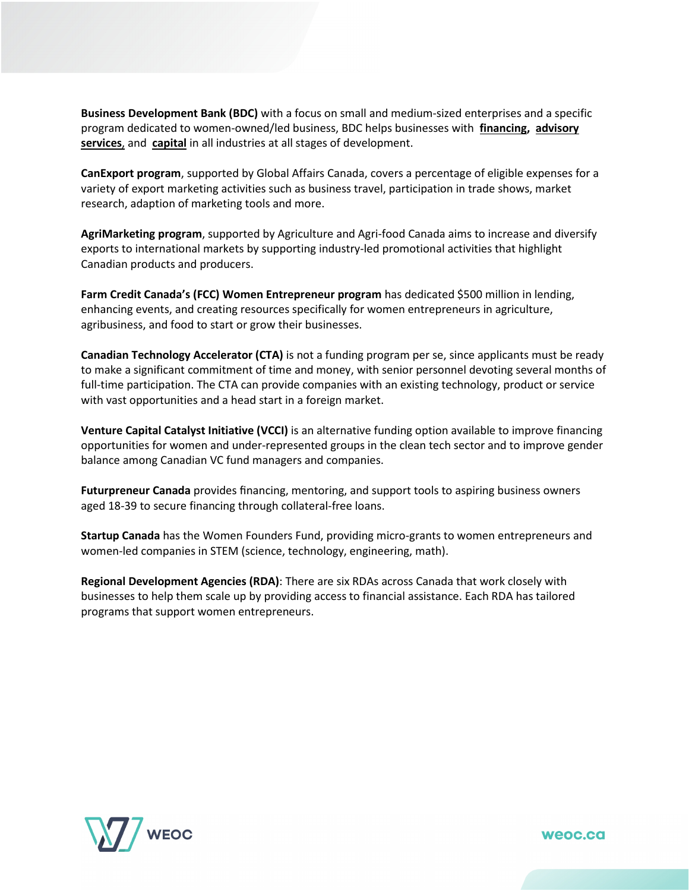**Business Development Bank (BDC)** with a focus on small and medium-sized enterprises and a specific program dedicated to women-owned/led business, BDC helps businesses with **financing, advisory services**, and **capital** in all industries at all stages of development.

**CanExport program**, supported by Global Affairs Canada, covers a percentage of eligible expenses for a variety of export marketing activities such as business travel, participation in trade shows, market research, adaption of marketing tools and more.

**AgriMarketing program**, supported by Agriculture and Agri-food Canada aims to increase and diversify exports to international markets by supporting industry-led promotional activities that highlight Canadian products and producers.

**Farm Credit Canada's (FCC) Women Entrepreneur program** has dedicated \$500 million in lending, enhancing events, and creating resources specifically for women entrepreneurs in agriculture, agribusiness, and food to start or grow their businesses.

**Canadian Technology Accelerator (CTA)** is not a funding program per se, since applicants must be ready to make a significant commitment of time and money, with senior personnel devoting several months of full-time participation. The CTA can provide companies with an existing technology, product or service with vast opportunities and a head start in a foreign market.

**Venture Capital Catalyst Initiative (VCCI)** is an alternative funding option available to improve financing opportunities for women and under-represented groups in the clean tech sector and to improve gender balance among Canadian VC fund managers and companies.

**Futurpreneur Canada** provides financing, mentoring, and support tools to aspiring business owners aged 18-39 to secure financing through collateral-free loans.

**Startup Canada** has the Women Founders Fund, providing micro-grants to women entrepreneurs and women-led companies in STEM (science, technology, engineering, math).

**Regional Development Agencies (RDA)**: There are six RDAs across Canada that work closely with businesses to help them scale up by providing access to financial assistance. Each RDA has tailored programs that support women entrepreneurs.